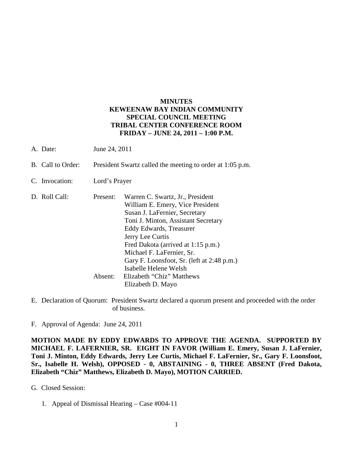## **MINUTES KEWEENAW BAY INDIAN COMMUNITY SPECIAL COUNCIL MEETING TRIBAL CENTER CONFERENCE ROOM FRIDAY – JUNE 24, 2011 – 1:00 P.M.**

- A. Date: June 24, 2011
- B. Call to Order: President Swartz called the meeting to order at 1:05 p.m.
- C. Invocation: Lord's Prayer
- D. Roll Call: Present: Warren C. Swartz, Jr., President William E. Emery, Vice President Susan J. LaFernier, Secretary Toni J. Minton, Assistant Secretary Eddy Edwards, Treasurer Jerry Lee Curtis Fred Dakota (arrived at 1:15 p.m.) Michael F. LaFernier, Sr. Gary F. Loonsfoot, Sr. (left at 2:48 p.m.) Isabelle Helene Welsh Absent: Elizabeth "Chiz" Matthews Elizabeth D. Mayo
- E. Declaration of Quorum: President Swartz declared a quorum present and proceeded with the order of business.
- F. Approval of Agenda: June 24, 2011

**MOTION MADE BY EDDY EDWARDS TO APPROVE THE AGENDA. SUPPORTED BY MICHAEL F. LAFERNIER, SR. EIGHT IN FAVOR (William E. Emery, Susan J. LaFernier, Toni J. Minton, Eddy Edwards, Jerry Lee Curtis, Michael F. LaFernier, Sr., Gary F. Loonsfoot, Sr., Isabelle H. Welsh), OPPOSED - 0, ABSTAINING - 0, THREE ABSENT (Fred Dakota, Elizabeth "Chiz" Matthews, Elizabeth D. Mayo), MOTION CARRIED.**

G. Closed Session:

1. Appeal of Dismissal Hearing – Case #004-11